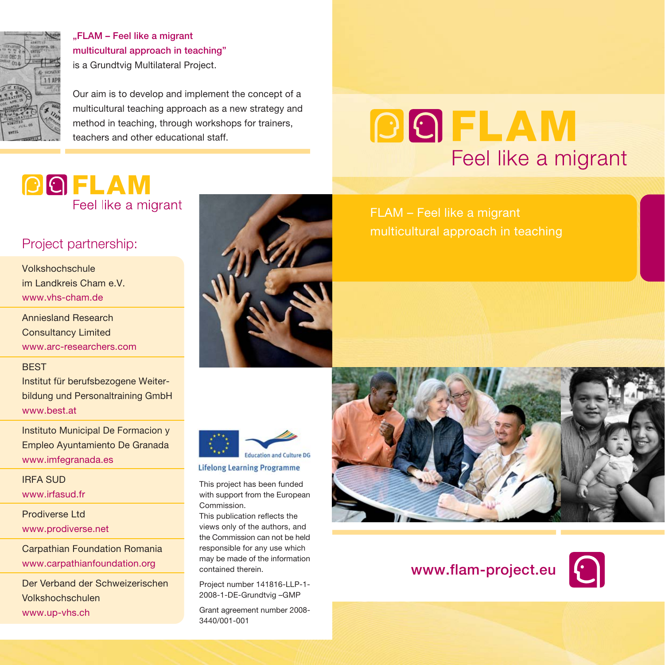

"FLAM – Feel like a migrant multicultural approach in teaching" is a Grundtvig Multilateral Project.

Our aim is to develop and implement the concept of a multicultural teaching approach as a new strategy and method in teaching, through workshops for trainers, teachers and other educational staff.

## **POFLAM** Feel like a migrant

### Project partnership:

Volkshochschule im Landkreis Cham e.V. www.vhs-cham.de

Anniesland Research Consultancy Limited www.arc-researchers.com

#### **BEST**

Institut für berufsbezogene Weiterbildung und Personaltraining GmbH www.best.at

Instituto Municipal De Formacion y Empleo Ayuntamiento De Granada www.imfegranada.es

### IRFA SUD

www.irfasud.fr

Prodiverse Ltd www.prodiverse.net

Carpathian Foundation Romania www.carpathianfoundation.org

Der Verband der Schweizerischen Volkshochschulen www.up-vhs.ch



FLAM – Feel like a migrant

Feel like a migrant

**DOFLAM** 

multicultural approach in teaching



**Lifelong Learning Programme** 

This project has been funded with support from the European Commission.

This publication reflects the views only of the authors, and the Commission can not be held responsible for any use which may be made of the information contained therein.

Project number 141816-LLP-1- 2008-1-DE-Grundtvig –GMP

Grant agreement number 2008- 3440/001-001



### www.flam-project.eu